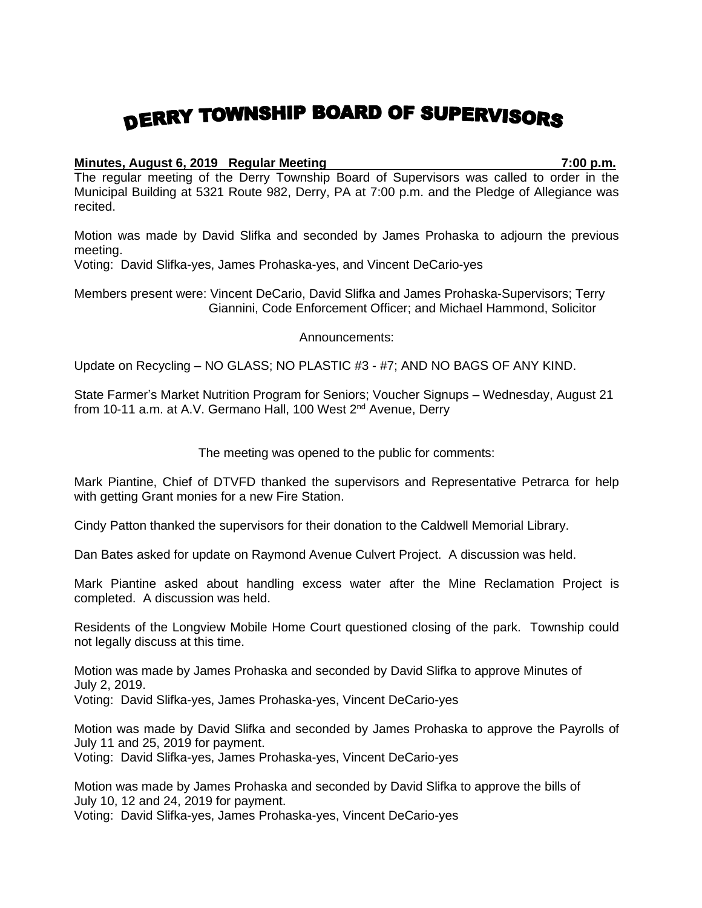## DERRY TOWNSHIP BOARD OF SUPERVISORS

## **Minutes, August 6, 2019 Regular Meeting 7:00 p.m.**

The regular meeting of the Derry Township Board of Supervisors was called to order in the Municipal Building at 5321 Route 982, Derry, PA at 7:00 p.m. and the Pledge of Allegiance was recited.

Motion was made by David Slifka and seconded by James Prohaska to adjourn the previous meeting.

Voting: David Slifka-yes, James Prohaska-yes, and Vincent DeCario-yes

Members present were: Vincent DeCario, David Slifka and James Prohaska-Supervisors; Terry Giannini, Code Enforcement Officer; and Michael Hammond, Solicitor

Announcements:

Update on Recycling – NO GLASS; NO PLASTIC #3 - #7; AND NO BAGS OF ANY KIND.

State Farmer's Market Nutrition Program for Seniors; Voucher Signups – Wednesday, August 21 from 10-11 a.m. at A.V. Germano Hall, 100 West 2<sup>nd</sup> Avenue, Derry

The meeting was opened to the public for comments:

Mark Piantine, Chief of DTVFD thanked the supervisors and Representative Petrarca for help with getting Grant monies for a new Fire Station.

Cindy Patton thanked the supervisors for their donation to the Caldwell Memorial Library.

Dan Bates asked for update on Raymond Avenue Culvert Project. A discussion was held.

Mark Piantine asked about handling excess water after the Mine Reclamation Project is completed. A discussion was held.

Residents of the Longview Mobile Home Court questioned closing of the park. Township could not legally discuss at this time.

Motion was made by James Prohaska and seconded by David Slifka to approve Minutes of July 2, 2019. Voting: David Slifka-yes, James Prohaska-yes, Vincent DeCario-yes

Motion was made by David Slifka and seconded by James Prohaska to approve the Payrolls of July 11 and 25, 2019 for payment.

Voting: David Slifka-yes, James Prohaska-yes, Vincent DeCario-yes

Motion was made by James Prohaska and seconded by David Slifka to approve the bills of July 10, 12 and 24, 2019 for payment.

Voting: David Slifka-yes, James Prohaska-yes, Vincent DeCario-yes